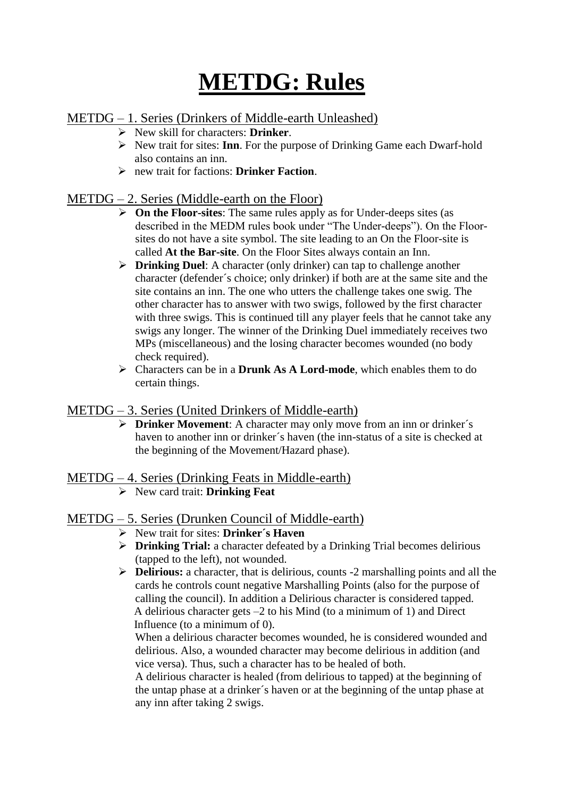# **METDG: Rules**

# METDG – 1. Series (Drinkers of Middle-earth Unleashed)

- New skill for characters: **Drinker**.
- New trait for sites: **Inn**. For the purpose of Drinking Game each Dwarf-hold also contains an inn.
- new trait for factions: **Drinker Faction**.

## METDG – 2. Series (Middle-earth on the Floor)

- **On the Floor-sites**: The same rules apply as for Under-deeps sites (as described in the MEDM rules book under "The Under-deeps"). On the Floorsites do not have a site symbol. The site leading to an On the Floor-site is called **At the Bar-site**. On the Floor Sites always contain an Inn.
- **Drinking Duel**: A character (only drinker) can tap to challenge another character (defender´s choice; only drinker) if both are at the same site and the site contains an inn. The one who utters the challenge takes one swig. The other character has to answer with two swigs, followed by the first character with three swigs. This is continued till any player feels that he cannot take any swigs any longer. The winner of the Drinking Duel immediately receives two MPs (miscellaneous) and the losing character becomes wounded (no body check required).
- Characters can be in a **Drunk As A Lord-mode**, which enables them to do certain things.

## METDG – 3. Series (United Drinkers of Middle-earth)

 **Drinker Movement**: A character may only move from an inn or drinker´s haven to another inn or drinker´s haven (the inn-status of a site is checked at the beginning of the Movement/Hazard phase).

## METDG – 4. Series (Drinking Feats in Middle-earth)

New card trait: **Drinking Feat**

## METDG – 5. Series (Drunken Council of Middle-earth)

- New trait for sites: **Drinker´s Haven**
- **Drinking Trial:** a character defeated by a Drinking Trial becomes delirious (tapped to the left), not wounded.
- **Delirious:** a character, that is delirious, counts -2 marshalling points and all the cards he controls count negative Marshalling Points (also for the purpose of calling the council). In addition a Delirious character is considered tapped. A delirious character gets –2 to his Mind (to a minimum of 1) and Direct Influence (to a minimum of 0).

When a delirious character becomes wounded, he is considered wounded and delirious. Also, a wounded character may become delirious in addition (and vice versa). Thus, such a character has to be healed of both.

A delirious character is healed (from delirious to tapped) at the beginning of the untap phase at a drinker´s haven or at the beginning of the untap phase at any inn after taking 2 swigs.